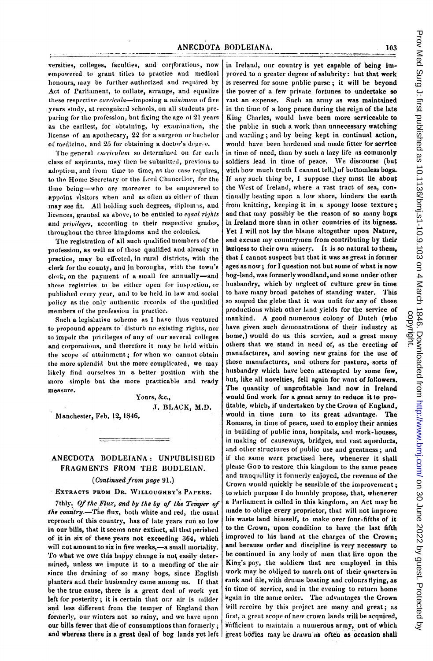versities, colleges, faculties, and corporations, now empowered to grant titles to practice and medical honours, may be further authorized and required by Act of Parliament, to collate, arrange, and equalize these respective curricula-imposing a minimum of five vears study, at recognized schools, on all students preparing for the profession, but fixing the age of 21 years as the earliest, for obtaining, by examination, the license of an apothecary, 22 for a surgeon or bachelor of medicine, and 25 for obtaining a doctor's degree.

The general curriculum so determined on for each class of aspirants, may then be submitted, previous to adoption, and from time to time, as the case requires. to the Home Secretary or the Lord Chancellor, for the time being-who are moreover to be empowered to appoint visitors when and as often as either of them may see fit. All holding such degrees, diplomas, and licences, granted as above, to be entitled to equal rights and privileges, according to their respective grades, throughout the three kingdoms and the colonies.

The registration of all such qualified members of the profession, as well as of those qualified and already in practice, may be effected, in rural districts, with the clerk for the county, and in boroughs, with the town's clerk, on the payment of a small fee annually-and these registries to be either open for inspection, or published every year, and to be held in law and social policy as the only authentic records of the qualified members of the profession in practice.

Such a legislative scheme as I have thus ventured to propound appears to disturb no existing rights, nor to impair the privileges of any of our several colleges and corporations, and therefore it may be held within the scope of attainment; for when we cannot obtain the more splendid but the more complicated, we may likely find ourselves in a better position with the more simple but the more practicable and ready measure.

Yours, &c., J. BLACK, M.D.

Manchester, Feb. 12, 1846.

# ANECDOTA BODLEIANA: UNPUBLISHED FRAGMENTS FROM THE BODLEIAN.

(Continued from page 91.)

## EXTRACTS FROM DR. WILLOUGHBY'S PAPERS.

7thly. Of the Flux, and by the by of the Temper of the country.-The flux, both white and red, the usual reproach of this country, has of late years run so low in our bills, that it seems near extinct, all that perished of it in six of these years not exceeding 364, which will not amount to six in five weeks,-a small mortality. To what we owe this happy change is not easily determined, unless we impute it to a mending of the air since the draining of so many bogs, since English planters and their husbandry came among us. If that be the true cause, there is a great deal of work yet left for posterity; it is certain that our air is milder and less different from the temper of England than formerly, our winters not so rainy, and we have upon our bills fewer that die of consumptions than formerly; and whereas there is a great deal of bog lands yet left

in Ireland, our country is yet capable of being improved to a greater degree of salubrity: but that work is reserved for some public purse; it will be beyond the power of a few private fortunes to undertake so vast an expense. Such an army as was maintained in the time of a long peace during the reign of the late King Charles, would have been more serviceable to the public in such a work than unnecessary watching and warding; and by being kept in continual action, would have been hardened and made fitter for service in time of need, than by such a lazy life as commonly soldiers lead in time of peace. We discourse (but with how much truth I cannot tell,) of bottomless bogs. If any such thing be, I suppose they must lie about the West of Ireland, where a vast tract of sea, continually beating upon a low shore, hinders the earth from knitting, keeping it in a spongy loose texture; and that may possibly be the reason of so many bogs in Ireland more than in other countries of its bigness. Yet I will not lay the blame altogether upon Nature, and excuse my countrymen from contributing by their laziness to their own misery. It is so natural to them, that I cannot suspect but that it was as great in former ages as now; for I question not but some of what is now bog-land, was formerly woodland, and some under other husbandry, which by neglect of culture grew in time to have many broad patches of standing water. This so soured the glebe that it was unfit for any of those productions which other land yields for the service of mankind. A good numerous colony of Dutch (who have given such demonstrations of their industry at home,) would do us this service, and a great many others that we stand in need of, as the erecting of manufactures, and sowing new grains for the use of those manufactures, and others for pasture, sorts of husbandry which have been attempted by some few, but, like all novelties, fell again for want of followers. The quantity of unprofitable land now in Ireland would find work for a great army to reduce it to profitable, which, if undertaken by the Crown of England, would in time turn to its great advantage. The Romans, in time of peace, used to employ their armies in building of public inns, hospitals, and work-houses, in making of causeways, bridges, and vast aqueducts, and other structures of public use and greatness; and if the same were practised here, whenever it shall please Gop to restore this kingdom to the same peace and tranquillity it formerly enjoyed, the revenue of the Crown would quickly be sensible of the improvement; to which purpose I do humbly propose, that, whenever a Parliament is called in this kingdom, an Act may be made to oblige every proprietor, that will not improve his waste land himself, to make over four-fifths of it to the Crown, upon condition to have the last fifth improved to his hand at the charges of the Crown; and because order and discipline is very necessary to be continued in any body of men that live upon the King's pay, the soldiers that are employed in this work may be obliged to march out of their quarters in rank and file, with drums beating and colours flying, as in time of service, and in the evening to return home hgain in the same order. The advantages the Crown will receive by this project are many and great; as first, a great scope of new crown lands will be acquired, sufficient to maintain a numerous army, out of which great bodies may be drawn as often as occasion shall

103